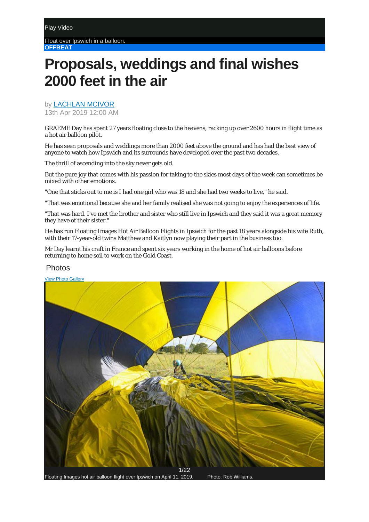Float over Ipswich in a balloon. **OFFBEAT**

## **Proposals, weddings and final wishes 2000 feet in the air**

by **[LACHLAN MCIVOR](https://www.qt.com.au/profile/lmcivor/)** 

13th Apr 2019 12:00 AM

GRAEME Day has spent 27 years floating close to the heavens, racking up over 2600 hours in flight time as a hot air balloon pilot.

He has seen proposals and weddings more than 2000 feet above the ground and has had the best view of anyone to watch how Ipswich and its surrounds have developed over the past two decades.

The thrill of ascending into the sky never gets old.

But the pure joy that comes with his passion for taking to the skies most days of the week can sometimes be mixed with other emotions.

"One that sticks out to me is I had one girl who was 18 and she had two weeks to live," he said.

"That was emotional because she and her family realised she was not going to enjoy the experiences of life.

"That was hard. I've met the brother and sister who still live in Ipswich and they said it was a great memory they have of their sister."

He has run Floating Images Hot Air Balloon Flights in Ipswich for the past 18 years alongside his wife Ruth, with their 17-year-old twins Matthew and Kaitlyn now playing their part in the business too.

Mr Day learnt his craft in France and spent six years working in the home of hot air balloons before returning to home soil to work on the Gold Coast.

## Photos

[View Photo Gallery](https://www.qt.com.au/photos/floating-images-flight-april-11/77653/)



Floating Images hot air balloon flight over Ipswich on April 11, 2019. Photo: Rob Williams